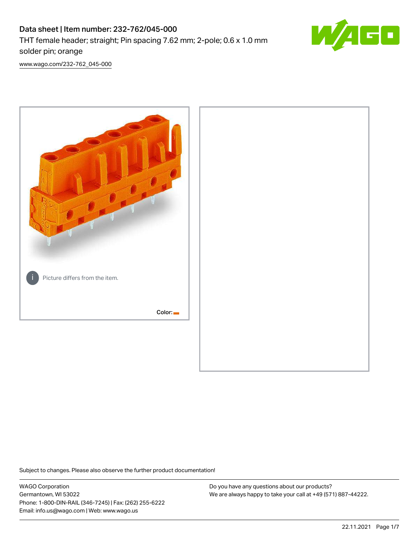

[www.wago.com/232-762\\_045-000](http://www.wago.com/232-762_045-000)



Subject to changes. Please also observe the further product documentation!

WAGO Corporation Germantown, WI 53022 Phone: 1-800-DIN-RAIL (346-7245) | Fax: (262) 255-6222 Email: info.us@wago.com | Web: www.wago.us

Do you have any questions about our products? We are always happy to take your call at +49 (571) 887-44222.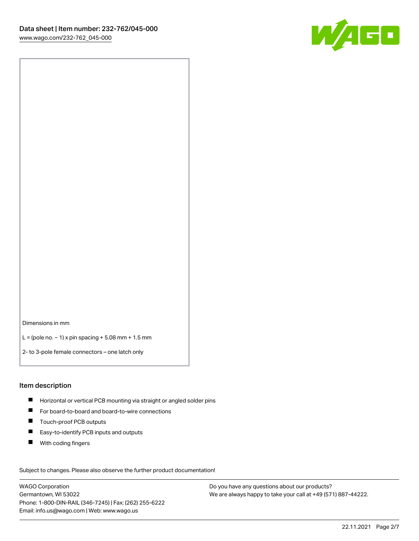

Dimensions in mm

L = (pole no. − 1) x pin spacing + 5.08 mm + 1.5 mm

2- to 3-pole female connectors – one latch only

#### Item description

- **H** Horizontal or vertical PCB mounting via straight or angled solder pins
- For board-to-board and board-to-wire connections
- Touch-proof PCB outputs  $\blacksquare$
- $\blacksquare$ Easy-to-identify PCB inputs and outputs
- $\blacksquare$ With coding fingers

Subject to changes. Please also observe the further product documentation! Data

WAGO Corporation Germantown, WI 53022 Phone: 1-800-DIN-RAIL (346-7245) | Fax: (262) 255-6222 Email: info.us@wago.com | Web: www.wago.us

Do you have any questions about our products? We are always happy to take your call at +49 (571) 887-44222.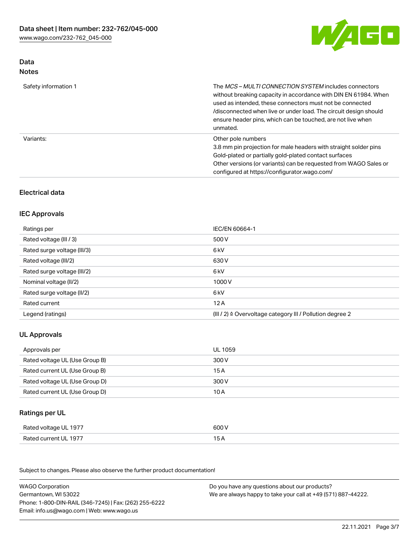

# Data Notes

| Safety information 1 | The MCS-MULTI CONNECTION SYSTEM includes connectors<br>without breaking capacity in accordance with DIN EN 61984. When<br>used as intended, these connectors must not be connected<br>/disconnected when live or under load. The circuit design should<br>ensure header pins, which can be touched, are not live when<br>unmated. |
|----------------------|-----------------------------------------------------------------------------------------------------------------------------------------------------------------------------------------------------------------------------------------------------------------------------------------------------------------------------------|
| Variants:            | Other pole numbers<br>3.8 mm pin projection for male headers with straight solder pins<br>Gold-plated or partially gold-plated contact surfaces<br>Other versions (or variants) can be requested from WAGO Sales or<br>configured at https://configurator.wago.com/                                                               |

# Electrical data

## IEC Approvals

| Ratings per                 | IEC/EN 60664-1                                                        |
|-----------------------------|-----------------------------------------------------------------------|
| Rated voltage (III / 3)     | 500 V                                                                 |
| Rated surge voltage (III/3) | 6 kV                                                                  |
| Rated voltage (III/2)       | 630 V                                                                 |
| Rated surge voltage (III/2) | 6 kV                                                                  |
| Nominal voltage (II/2)      | 1000 V                                                                |
| Rated surge voltage (II/2)  | 6 kV                                                                  |
| Rated current               | 12A                                                                   |
| Legend (ratings)            | $(III / 2)$ $\triangle$ Overvoltage category III / Pollution degree 2 |

# UL Approvals

| Approvals per                  | UL 1059 |
|--------------------------------|---------|
| Rated voltage UL (Use Group B) | 300 V   |
| Rated current UL (Use Group B) | 15 A    |
| Rated voltage UL (Use Group D) | 300 V   |
| Rated current UL (Use Group D) | 10 A    |

# Ratings per UL

| Rated voltage UL 1977 | 600 V |
|-----------------------|-------|
| Rated current UL 1977 |       |

Subject to changes. Please also observe the further product documentation!

| <b>WAGO Corporation</b>                                | Do you have any questions about our products?                 |
|--------------------------------------------------------|---------------------------------------------------------------|
| Germantown, WI 53022                                   | We are always happy to take your call at +49 (571) 887-44222. |
| Phone: 1-800-DIN-RAIL (346-7245)   Fax: (262) 255-6222 |                                                               |
| Email: info.us@wago.com   Web: www.wago.us             |                                                               |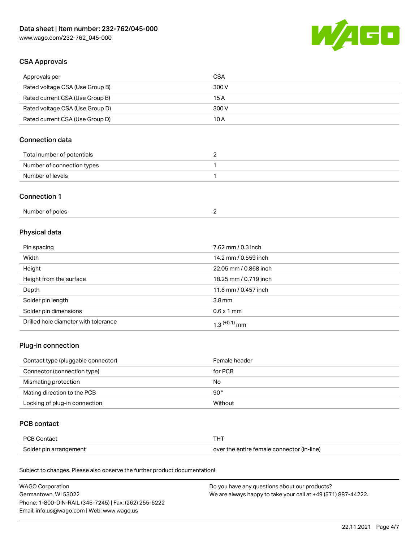

## CSA Approvals

| Approvals per                   | CSA   |
|---------------------------------|-------|
| Rated voltage CSA (Use Group B) | 300 V |
| Rated current CSA (Use Group B) | 15 A  |
| Rated voltage CSA (Use Group D) | 300 V |
| Rated current CSA (Use Group D) | 10 A  |

# Connection data

| Total number of potentials |  |
|----------------------------|--|
| Number of connection types |  |
| Number of levels           |  |

## Connection 1

| Number of poles |  |
|-----------------|--|
|-----------------|--|

# Physical data

| Pin spacing                          | 7.62 mm / 0.3 inch    |
|--------------------------------------|-----------------------|
| Width                                | 14.2 mm / 0.559 inch  |
| Height                               | 22.05 mm / 0.868 inch |
| Height from the surface              | 18.25 mm / 0.719 inch |
| Depth                                | 11.6 mm / 0.457 inch  |
| Solder pin length                    | 3.8 <sub>mm</sub>     |
| Solder pin dimensions                | $0.6 \times 1$ mm     |
| Drilled hole diameter with tolerance | $1.3$ $(+0.1)$ mm     |

# Plug-in connection

| Contact type (pluggable connector) | Female header |
|------------------------------------|---------------|
| Connector (connection type)        | for PCB       |
| Mismating protection               | No            |
| Mating direction to the PCB        | $90^{\circ}$  |
| Locking of plug-in connection      | Without       |

## PCB contact

| PCB Contact            | THT                                        |
|------------------------|--------------------------------------------|
| Solder pin arrangement | over the entire female connector (in-line) |

Subject to changes. Please also observe the further product documentation!

| <b>WAGO Corporation</b>                                | Do you have any questions about our products?                 |
|--------------------------------------------------------|---------------------------------------------------------------|
| Germantown, WI 53022                                   | We are always happy to take your call at +49 (571) 887-44222. |
| Phone: 1-800-DIN-RAIL (346-7245)   Fax: (262) 255-6222 |                                                               |
| Email: info.us@wago.com   Web: www.wago.us             |                                                               |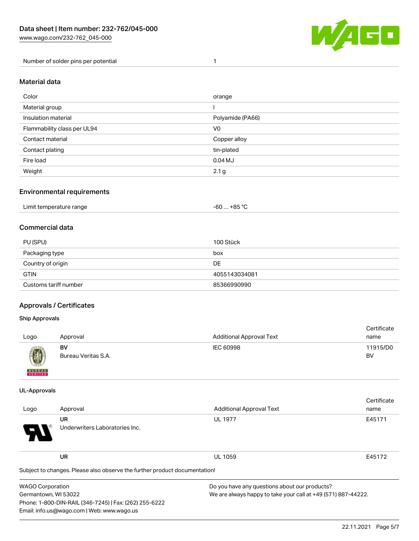

Number of solder pins per potential 1

#### Material data

| Color                       | orange           |
|-----------------------------|------------------|
| Material group              |                  |
| Insulation material         | Polyamide (PA66) |
| Flammability class per UL94 | V <sub>0</sub>   |
| Contact material            | Copper alloy     |
| Contact plating             | tin-plated       |
| Fire load                   | $0.04$ MJ        |
| Weight                      | 2.1 <sub>g</sub> |

## Environmental requirements

| Limit temperature range<br>. | $. +85 °C$<br>-60 |  |
|------------------------------|-------------------|--|
|------------------------------|-------------------|--|

## Commercial data

| PU (SPU)              | 100 Stück     |
|-----------------------|---------------|
| Packaging type        | box           |
| Country of origin     | <b>DE</b>     |
| <b>GTIN</b>           | 4055143034081 |
| Customs tariff number | 85366990990   |

## Approvals / Certificates

Phone: 1-800-DIN-RAIL (346-7245) | Fax: (262) 255-6222

Email: info.us@wago.com | Web: www.wago.us

#### Ship Approvals

| Logo                                                                                                                                                                                                                                                                                                                                                                                                                                                                                | Approval                  | <b>Additional Approval Text</b> | Certificate<br>name |
|-------------------------------------------------------------------------------------------------------------------------------------------------------------------------------------------------------------------------------------------------------------------------------------------------------------------------------------------------------------------------------------------------------------------------------------------------------------------------------------|---------------------------|---------------------------------|---------------------|
| $\bigcirc\!\!\!\!\! \bigcirc\!\!\!\!\! \bigcirc\!\!\!\!\! \bigcirc\!\!\!\!\! \bigcirc\!\!\!\!\! \bigcirc\!\!\!\!\! \bigcirc\!\!\!\!\! \bigcirc\!\!\!\!\! \bigcirc\!\!\!\!\! \bigcirc\!\!\!\!\! \bigcirc\!\!\!\!\! \bigcirc\!\!\!\!\! \bigcirc\!\!\!\!\! \bigcirc\!\!\!\!\! \bigcirc\!\!\!\!\! \bigcirc\!\!\!\!\! \bigcirc\!\!\!\!\! \bigcirc\!\!\!\!\! \bigcirc\!\!\!\!\! \bigcirc\!\!\!\!\! \bigcirc\!\!\!\!\! \bigcirc\!\!\!\!\! \bigcirc\!\!\!\!\! \bigcirc\!\!\!\!\! \bigcirc\$ | BV<br>Bureau Veritas S.A. | IEC 60998                       | 11915/D0<br>BV      |
| <b>BUNEAU</b>                                                                                                                                                                                                                                                                                                                                                                                                                                                                       |                           |                                 |                     |

#### UL-Approvals

|                      |                                                                            |                                 | Certificate                                                   |  |
|----------------------|----------------------------------------------------------------------------|---------------------------------|---------------------------------------------------------------|--|
| Logo                 | Approval                                                                   | <b>Additional Approval Text</b> | name                                                          |  |
|                      | <b>UR</b>                                                                  | <b>UL 1977</b>                  | E45171                                                        |  |
|                      | Underwriters Laboratories Inc.                                             |                                 |                                                               |  |
|                      | <b>UR</b>                                                                  | <b>UL 1059</b>                  | E45172                                                        |  |
|                      | Subject to changes. Please also observe the further product documentation! |                                 |                                                               |  |
|                      | Do you have any questions about our products?<br><b>WAGO Corporation</b>   |                                 |                                                               |  |
| Germantown, WI 53022 |                                                                            |                                 | We are always happy to take your call at +49 (571) 887-44222. |  |

We are always happy to take your call at +49 (571) 887-44222.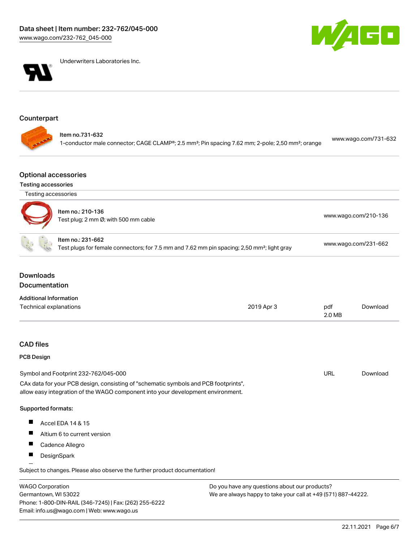



Underwriters Laboratories Inc.

# Counterpart

## Optional accessories

### Testing accessories

Germantown, WI 53022

Phone: 1-800-DIN-RAIL (346-7245) | Fax: (262) 255-6222

Email: info.us@wago.com | Web: www.wago.us

|                                   | Testing accessories                                                                                                                                                    |                                                                                                         |                      |                      |  |
|-----------------------------------|------------------------------------------------------------------------------------------------------------------------------------------------------------------------|---------------------------------------------------------------------------------------------------------|----------------------|----------------------|--|
|                                   | Item no.: 210-136<br>Test plug; 2 mm Ø; with 500 mm cable                                                                                                              |                                                                                                         | www.wago.com/210-136 |                      |  |
|                                   | Item no.: 231-662                                                                                                                                                      | Test plugs for female connectors; for 7.5 mm and 7.62 mm pin spacing; 2,50 mm <sup>2</sup> ; light gray |                      | www.wago.com/231-662 |  |
| <b>Downloads</b><br>Documentation |                                                                                                                                                                        |                                                                                                         |                      |                      |  |
| <b>Additional Information</b>     |                                                                                                                                                                        |                                                                                                         |                      |                      |  |
|                                   | Technical explanations                                                                                                                                                 | 2019 Apr 3                                                                                              | pdf<br>2.0 MB        | Download             |  |
| <b>CAD files</b>                  |                                                                                                                                                                        |                                                                                                         |                      |                      |  |
| <b>PCB Design</b>                 |                                                                                                                                                                        |                                                                                                         |                      |                      |  |
|                                   | Symbol and Footprint 232-762/045-000                                                                                                                                   |                                                                                                         | <b>URL</b>           | Download             |  |
|                                   | CAx data for your PCB design, consisting of "schematic symbols and PCB footprints",<br>allow easy integration of the WAGO component into your development environment. |                                                                                                         |                      |                      |  |
| Supported formats:                |                                                                                                                                                                        |                                                                                                         |                      |                      |  |
|                                   | <b>Accel EDA 14 &amp; 15</b>                                                                                                                                           |                                                                                                         |                      |                      |  |
| П                                 | Altium 6 to current version                                                                                                                                            |                                                                                                         |                      |                      |  |
|                                   | Cadence Allegro                                                                                                                                                        |                                                                                                         |                      |                      |  |
| ш                                 | DesignSpark                                                                                                                                                            |                                                                                                         |                      |                      |  |
|                                   | Subject to changes. Please also observe the further product documentation!                                                                                             |                                                                                                         |                      |                      |  |
| <b>WAGO Corporation</b>           |                                                                                                                                                                        | Do you have any questions about our products?                                                           |                      |                      |  |

We are always happy to take your call at +49 (571) 887-44222.